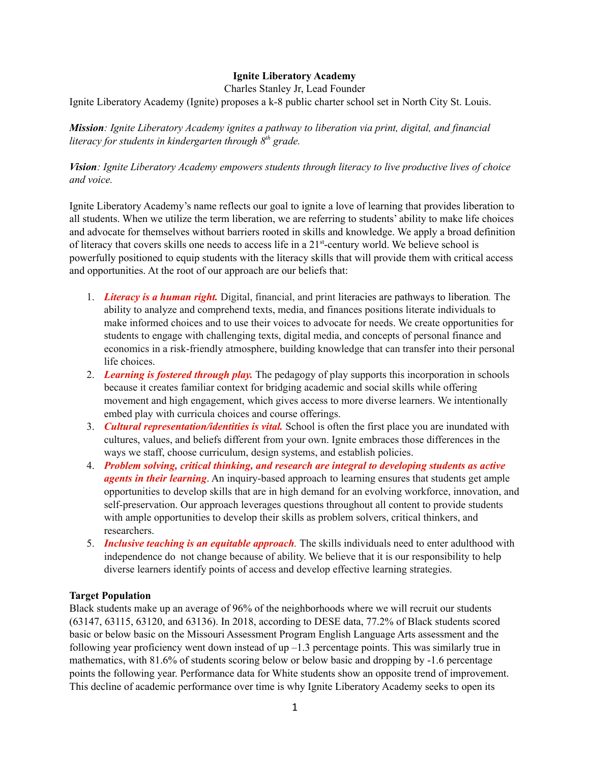## **Ignite Liberatory Academy**

Charles Stanley Jr, Lead Founder

Ignite Liberatory Academy (Ignite) proposes a k-8 public charter school set in North City St. Louis.

*Mission: Ignite Liberatory Academy ignites a pathway to liberation via print, digital, and financial literacy for students in kindergarten through 8 th grade.*

*Vision: Ignite Liberatory Academy empowers students through literacy to live productive lives of choice and voice.*

Ignite Liberatory Academy's name reflects our goal to ignite a love of learning that provides liberation to all students. When we utilize the term liberation, we are referring to students' ability to make life choices and advocate for themselves without barriers rooted in skills and knowledge. We apply a broad definition of literacy that covers skills one needs to access life in a 21<sup>st</sup>-century world. We believe school is powerfully positioned to equip students with the literacy skills that will provide them with critical access and opportunities. At the root of our approach are our beliefs that:

- 1. *Literacy is a human right.* Digital, financial, and print literacies are pathways to liberation*.* The ability to analyze and comprehend texts, media, and finances positions literate individuals to make informed choices and to use their voices to advocate for needs. We create opportunities for students to engage with challenging texts, digital media, and concepts of personal finance and economics in a risk-friendly atmosphere, building knowledge that can transfer into their personal life choices.
- 2. *Learning is fostered through play.* The pedagogy of play supports this incorporation in schools because it creates familiar context for bridging academic and social skills while offering movement and high engagement, which gives access to more diverse learners. We intentionally embed play with curricula choices and course offerings.
- 3. *Cultural representation/identities is vital.* School is often the first place you are inundated with cultures, values, and beliefs different from your own. Ignite embraces those differences in the ways we staff, choose curriculum, design systems, and establish policies.
- 4. *Problem solving, critical thinking, and research are integral to developing students as active agents in their learning*. An inquiry-based approach to learning ensures that students get ample opportunities to develop skills that are in high demand for an evolving workforce, innovation, and self-preservation. Our approach leverages questions throughout all content to provide students with ample opportunities to develop their skills as problem solvers, critical thinkers, and researchers.
- 5. *Inclusive teaching is an equitable approach.* The skills individuals need to enter adulthood with independence do not change because of ability. We believe that it is our responsibility to help diverse learners identify points of access and develop effective learning strategies.

## **Target Population**

Black students make up an average of 96% of the neighborhoods where we will recruit our students (63147, 63115, 63120, and 63136). In 2018, according to DESE data, 77.2% of Black students scored basic or below basic on the Missouri Assessment Program English Language Arts assessment and the following year proficiency went down instead of up  $-1.3$  percentage points. This was similarly true in mathematics, with 81.6% of students scoring below or below basic and dropping by -1.6 percentage points the following year. Performance data for White students show an opposite trend of improvement. This decline of academic performance over time is why Ignite Liberatory Academy seeks to open its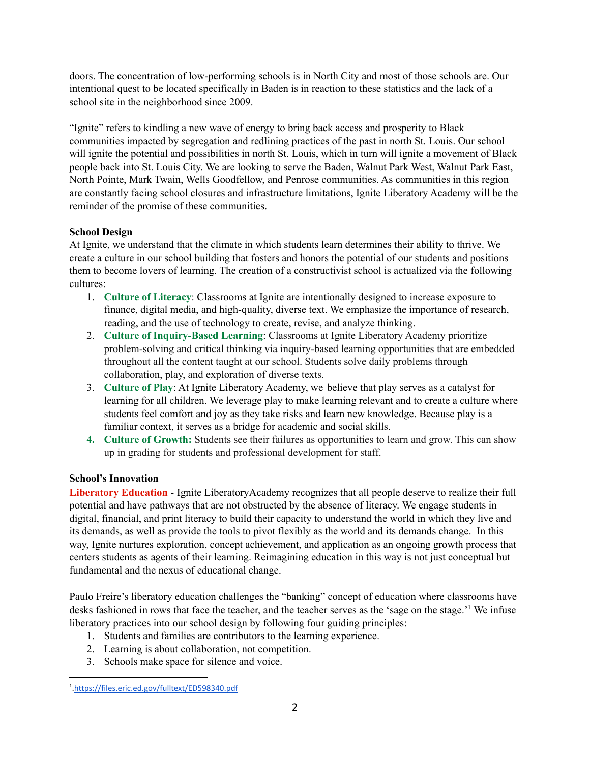doors. The concentration of low-performing schools is in North City and most of those schools are. Our intentional quest to be located specifically in Baden is in reaction to these statistics and the lack of a school site in the neighborhood since 2009.

"Ignite" refers to kindling a new wave of energy to bring back access and prosperity to Black communities impacted by segregation and redlining practices of the past in north St. Louis. Our school will ignite the potential and possibilities in north St. Louis, which in turn will ignite a movement of Black people back into St. Louis City. We are looking to serve the Baden, Walnut Park West, Walnut Park East, North Pointe, Mark Twain, Wells Goodfellow, and Penrose communities. As communities in this region are constantly facing school closures and infrastructure limitations, Ignite Liberatory Academy will be the reminder of the promise of these communities.

# **School Design**

At Ignite, we understand that the climate in which students learn determines their ability to thrive. We create a culture in our school building that fosters and honors the potential of our students and positions them to become lovers of learning. The creation of a constructivist school is actualized via the following cultures:

- 1. **Culture of Literacy**: Classrooms at Ignite are intentionally designed to increase exposure to finance, digital media, and high-quality, diverse text. We emphasize the importance of research, reading, and the use of technology to create, revise, and analyze thinking.
- 2. **Culture of Inquiry-Based Learning**: Classrooms at Ignite Liberatory Academy prioritize problem-solving and critical thinking via inquiry-based learning opportunities that are embedded throughout all the content taught at our school. Students solve daily problems through collaboration, play, and exploration of diverse texts.
- 3. **Culture of Play**: At Ignite Liberatory Academy, we believe that play serves as a catalyst for learning for all children. We leverage play to make learning relevant and to create a culture where students feel comfort and joy as they take risks and learn new knowledge. Because play is a familiar context, it serves as a bridge for academic and social skills.
- **4. Culture of Growth:** Students see their failures as opportunities to learn and grow. This can show up in grading for students and professional development for staff.

## **School's Innovation**

**Liberatory Education** - Ignite LiberatoryAcademy recognizes that all people deserve to realize their full potential and have pathways that are not obstructed by the absence of literacy. We engage students in digital, financial, and print literacy to build their capacity to understand the world in which they live and its demands, as well as provide the tools to pivot flexibly as the world and its demands change. In this way, Ignite nurtures exploration, concept achievement, and application as an ongoing growth process that centers students as agents of their learning. Reimagining education in this way is not just conceptual but fundamental and the nexus of educational change.

Paulo Freire's liberatory education challenges the "banking" concept of education where classrooms have desks fashioned in rows that face the teacher, and the teacher serves as the 'sage on the stage.'<sup>1</sup> We infuse liberatory practices into our school design by following four guiding principles:

- 1. Students and families are contributors to the learning experience.
- 2. Learning is about collaboration, not competition.
- 3. Schools make space for silence and voice.

<sup>1</sup> [.https://files.eric.ed.gov/fulltext/ED598340.pdf](https://files.eric.ed.gov/fulltext/ED598340.pdf)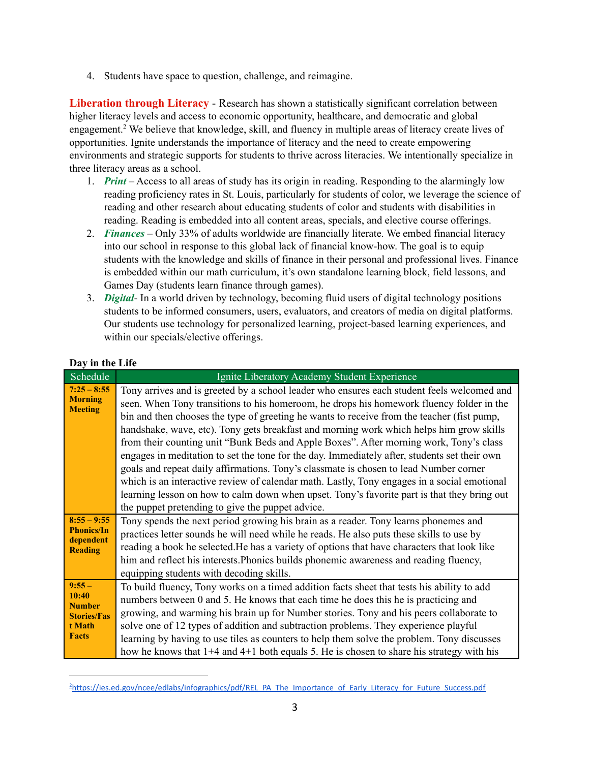4. Students have space to question, challenge, and reimagine.

**Liberation through Literacy** - Research has shown a statistically significant correlation between higher literacy levels and access to economic opportunity, healthcare, and democratic and global engagement.<sup>2</sup> We believe that knowledge, skill, and fluency in multiple areas of literacy create lives of opportunities. Ignite understands the importance of literacy and the need to create empowering environments and strategic supports for students to thrive across literacies. We intentionally specialize in three literacy areas as a school.

- 1. *Print* Access to all areas of study has its origin in reading. Responding to the alarmingly low reading proficiency rates in St. Louis, particularly for students of color, we leverage the science of reading and other research about educating students of color and students with disabilities in reading. Reading is embedded into all content areas, specials, and elective course offerings.
- 2. *Finances* Only 33% of adults worldwide are financially literate. We embed financial literacy into our school in response to this global lack of financial know-how. The goal is to equip students with the knowledge and skills of finance in their personal and professional lives. Finance is embedded within our math curriculum, it's own standalone learning block, field lessons, and Games Day (students learn finance through games).
- 3. *Digital* In a world driven by technology, becoming fluid users of digital technology positions students to be informed consumers, users, evaluators, and creators of media on digital platforms. Our students use technology for personalized learning, project-based learning experiences, and within our specials/elective offerings.

| Schedule                                                                           | Ignite Liberatory Academy Student Experience                                                                                                                                                                                                                                                                                                                                                                                                                                                                                                                                                                                                                                                                                                                                                                                                                                                                         |
|------------------------------------------------------------------------------------|----------------------------------------------------------------------------------------------------------------------------------------------------------------------------------------------------------------------------------------------------------------------------------------------------------------------------------------------------------------------------------------------------------------------------------------------------------------------------------------------------------------------------------------------------------------------------------------------------------------------------------------------------------------------------------------------------------------------------------------------------------------------------------------------------------------------------------------------------------------------------------------------------------------------|
| $7:25 - 8:55$<br><b>Morning</b><br><b>Meeting</b>                                  | Tony arrives and is greeted by a school leader who ensures each student feels welcomed and<br>seen. When Tony transitions to his homeroom, he drops his homework fluency folder in the<br>bin and then chooses the type of greeting he wants to receive from the teacher (fist pump,<br>handshake, wave, etc). Tony gets breakfast and morning work which helps him grow skills<br>from their counting unit "Bunk Beds and Apple Boxes". After morning work, Tony's class<br>engages in meditation to set the tone for the day. Immediately after, students set their own<br>goals and repeat daily affirmations. Tony's classmate is chosen to lead Number corner<br>which is an interactive review of calendar math. Lastly, Tony engages in a social emotional<br>learning lesson on how to calm down when upset. Tony's favorite part is that they bring out<br>the puppet pretending to give the puppet advice. |
| $8:55 - 9:55$<br><b>Phonics/In</b><br>dependent<br><b>Reading</b>                  | Tony spends the next period growing his brain as a reader. Tony learns phonemes and<br>practices letter sounds he will need while he reads. He also puts these skills to use by<br>reading a book he selected. He has a variety of options that have characters that look like<br>him and reflect his interests. Phonics builds phonemic awareness and reading fluency,<br>equipping students with decoding skills.                                                                                                                                                                                                                                                                                                                                                                                                                                                                                                  |
| $9:55 -$<br>10:40<br><b>Number</b><br><b>Stories/Fas</b><br>t Math<br><b>Facts</b> | To build fluency, Tony works on a timed addition facts sheet that tests his ability to add<br>numbers between 0 and 5. He knows that each time he does this he is practicing and<br>growing, and warming his brain up for Number stories. Tony and his peers collaborate to<br>solve one of 12 types of addition and subtraction problems. They experience playful<br>learning by having to use tiles as counters to help them solve the problem. Tony discusses<br>how he knows that 1+4 and 4+1 both equals 5. He is chosen to share his strategy with his                                                                                                                                                                                                                                                                                                                                                         |

## **Day in the Life**

<sup>&</sup>lt;sup>2</sup>[https://ies.ed.gov/ncee/edlabs/infographics/pdf/REL\\_PA\\_The\\_Importance\\_of\\_Early\\_Literacy\\_for\\_Future\\_Success.pdf](https://ies.ed.gov/ncee/edlabs/infographics/pdf/REL_PA_The_Importance_of_Early_Literacy_for_Future_Success.pdf)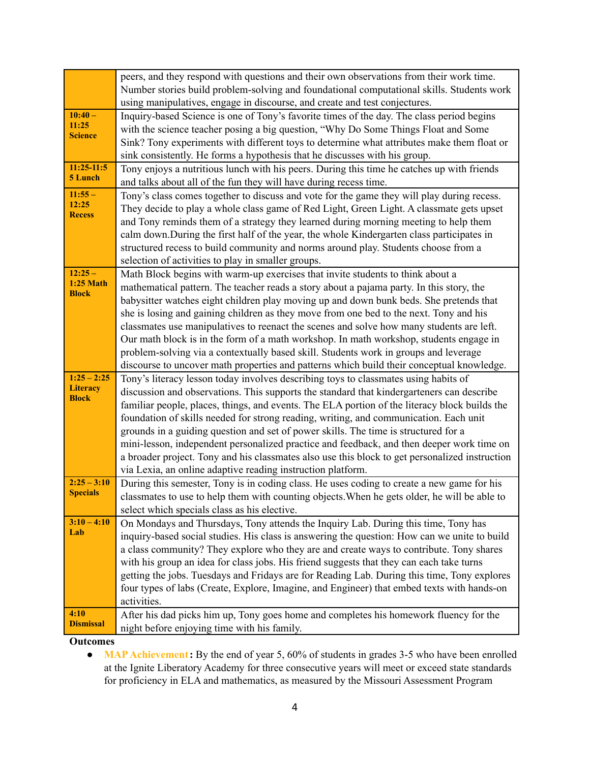|                                  | peers, and they respond with questions and their own observations from their work time.                                                                                                     |
|----------------------------------|---------------------------------------------------------------------------------------------------------------------------------------------------------------------------------------------|
|                                  | Number stories build problem-solving and foundational computational skills. Students work                                                                                                   |
|                                  | using manipulatives, engage in discourse, and create and test conjectures.                                                                                                                  |
| $10:40 -$                        | Inquiry-based Science is one of Tony's favorite times of the day. The class period begins                                                                                                   |
| 11:25<br><b>Science</b>          | with the science teacher posing a big question, "Why Do Some Things Float and Some                                                                                                          |
|                                  | Sink? Tony experiments with different toys to determine what attributes make them float or                                                                                                  |
|                                  | sink consistently. He forms a hypothesis that he discusses with his group.                                                                                                                  |
| $11:25-11:5$<br>5 Lunch          | Tony enjoys a nutritious lunch with his peers. During this time he catches up with friends                                                                                                  |
|                                  | and talks about all of the fun they will have during recess time.                                                                                                                           |
| $11:55 -$<br>12:25               | Tony's class comes together to discuss and vote for the game they will play during recess.                                                                                                  |
| <b>Recess</b>                    | They decide to play a whole class game of Red Light, Green Light. A classmate gets upset                                                                                                    |
|                                  | and Tony reminds them of a strategy they learned during morning meeting to help them                                                                                                        |
|                                  | calm down. During the first half of the year, the whole Kindergarten class participates in                                                                                                  |
|                                  | structured recess to build community and norms around play. Students choose from a                                                                                                          |
|                                  | selection of activities to play in smaller groups.                                                                                                                                          |
| $12:25-$<br><b>1:25 Math</b>     | Math Block begins with warm-up exercises that invite students to think about a                                                                                                              |
| <b>Block</b>                     | mathematical pattern. The teacher reads a story about a pajama party. In this story, the                                                                                                    |
|                                  | babysitter watches eight children play moving up and down bunk beds. She pretends that                                                                                                      |
|                                  | she is losing and gaining children as they move from one bed to the next. Tony and his                                                                                                      |
|                                  | classmates use manipulatives to reenact the scenes and solve how many students are left.                                                                                                    |
|                                  | Our math block is in the form of a math workshop. In math workshop, students engage in                                                                                                      |
|                                  | problem-solving via a contextually based skill. Students work in groups and leverage                                                                                                        |
|                                  | discourse to uncover math properties and patterns which build their conceptual knowledge.                                                                                                   |
| $1:25 - 2:25$<br><b>Literacy</b> | Tony's literacy lesson today involves describing toys to classmates using habits of                                                                                                         |
| <b>Block</b>                     | discussion and observations. This supports the standard that kindergarteners can describe                                                                                                   |
|                                  | familiar people, places, things, and events. The ELA portion of the literacy block builds the                                                                                               |
|                                  | foundation of skills needed for strong reading, writing, and communication. Each unit                                                                                                       |
|                                  | grounds in a guiding question and set of power skills. The time is structured for a                                                                                                         |
|                                  | mini-lesson, independent personalized practice and feedback, and then deeper work time on<br>a broader project. Tony and his classmates also use this block to get personalized instruction |
|                                  | via Lexia, an online adaptive reading instruction platform.                                                                                                                                 |
| $2:25 - 3:10$                    | During this semester, Tony is in coding class. He uses coding to create a new game for his                                                                                                  |
| <b>Specials</b>                  | classmates to use to help them with counting objects. When he gets older, he will be able to                                                                                                |
|                                  | select which specials class as his elective.                                                                                                                                                |
| $3:10 - 4:10$                    | On Mondays and Thursdays, Tony attends the Inquiry Lab. During this time, Tony has                                                                                                          |
| Lab                              | inquiry-based social studies. His class is answering the question: How can we unite to build                                                                                                |
|                                  | a class community? They explore who they are and create ways to contribute. Tony shares                                                                                                     |
|                                  | with his group an idea for class jobs. His friend suggests that they can each take turns                                                                                                    |
|                                  | getting the jobs. Tuesdays and Fridays are for Reading Lab. During this time, Tony explores                                                                                                 |
|                                  | four types of labs (Create, Explore, Imagine, and Engineer) that embed texts with hands-on                                                                                                  |
|                                  | activities.                                                                                                                                                                                 |
| 4:10                             | After his dad picks him up, Tony goes home and completes his homework fluency for the                                                                                                       |
| <b>Dismissal</b>                 | night before enjoying time with his family.                                                                                                                                                 |

**Outcomes**

• **MAP Achievement:** By the end of year 5, 60% of students in grades 3-5 who have been enrolled at the Ignite Liberatory Academy for three consecutive years will meet or exceed state standards for proficiency in ELA and mathematics, as measured by the Missouri Assessment Program